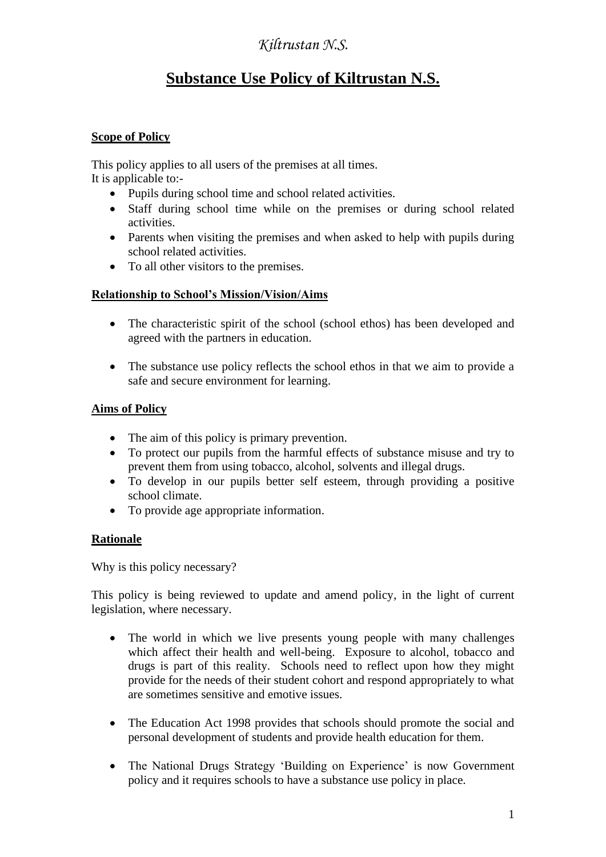# **Substance Use Policy of Kiltrustan N.S.**

#### **Scope of Policy**

This policy applies to all users of the premises at all times. It is applicable to:-

- Pupils during school time and school related activities.
- Staff during school time while on the premises or during school related activities.
- Parents when visiting the premises and when asked to help with pupils during school related activities.
- To all other visitors to the premises.

#### **Relationship to School's Mission/Vision/Aims**

- The characteristic spirit of the school (school ethos) has been developed and agreed with the partners in education.
- The substance use policy reflects the school ethos in that we aim to provide a safe and secure environment for learning.

#### **Aims of Policy**

- The aim of this policy is primary prevention.
- To protect our pupils from the harmful effects of substance misuse and try to prevent them from using tobacco, alcohol, solvents and illegal drugs.
- To develop in our pupils better self esteem, through providing a positive school climate.
- To provide age appropriate information.

#### **Rationale**

Why is this policy necessary?

This policy is being reviewed to update and amend policy, in the light of current legislation, where necessary.

- The world in which we live presents young people with many challenges which affect their health and well-being. Exposure to alcohol, tobacco and drugs is part of this reality. Schools need to reflect upon how they might provide for the needs of their student cohort and respond appropriately to what are sometimes sensitive and emotive issues.
- The Education Act 1998 provides that schools should promote the social and personal development of students and provide health education for them.
- The National Drugs Strategy 'Building on Experience' is now Government policy and it requires schools to have a substance use policy in place.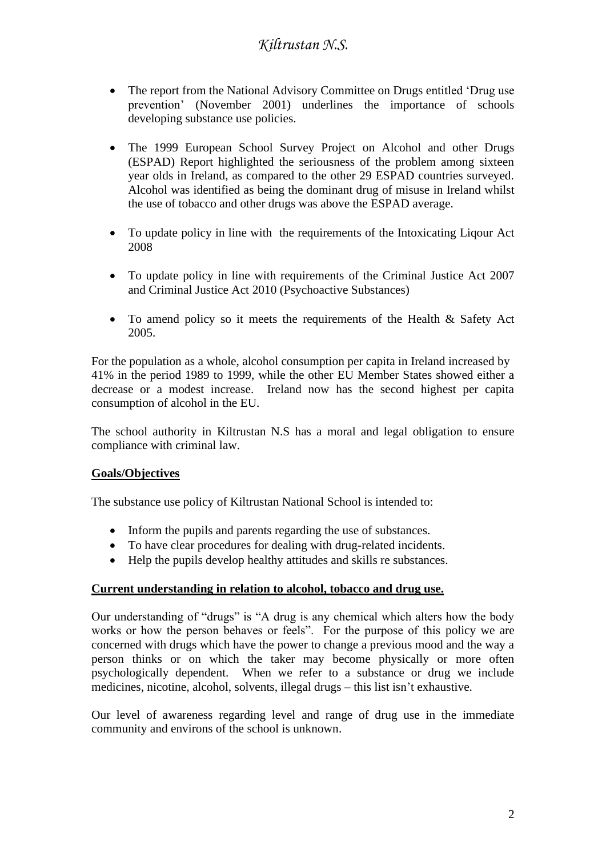- The report from the National Advisory Committee on Drugs entitled 'Drug use prevention' (November 2001) underlines the importance of schools developing substance use policies.
- The 1999 European School Survey Project on Alcohol and other Drugs (ESPAD) Report highlighted the seriousness of the problem among sixteen year olds in Ireland, as compared to the other 29 ESPAD countries surveyed. Alcohol was identified as being the dominant drug of misuse in Ireland whilst the use of tobacco and other drugs was above the ESPAD average.
- To update policy in line with the requirements of the Intoxicating Liqour Act 2008
- To update policy in line with requirements of the Criminal Justice Act 2007 and Criminal Justice Act 2010 (Psychoactive Substances)
- To amend policy so it meets the requirements of the Health & Safety Act 2005.

For the population as a whole, alcohol consumption per capita in Ireland increased by 41% in the period 1989 to 1999, while the other EU Member States showed either a decrease or a modest increase. Ireland now has the second highest per capita consumption of alcohol in the EU.

The school authority in Kiltrustan N.S has a moral and legal obligation to ensure compliance with criminal law.

#### **Goals/Objectives**

The substance use policy of Kiltrustan National School is intended to:

- Inform the pupils and parents regarding the use of substances.
- To have clear procedures for dealing with drug-related incidents.
- Help the pupils develop healthy attitudes and skills re substances.

#### **Current understanding in relation to alcohol, tobacco and drug use.**

Our understanding of "drugs" is "A drug is any chemical which alters how the body works or how the person behaves or feels". For the purpose of this policy we are concerned with drugs which have the power to change a previous mood and the way a person thinks or on which the taker may become physically or more often psychologically dependent. When we refer to a substance or drug we include medicines, nicotine, alcohol, solvents, illegal drugs – this list isn't exhaustive.

Our level of awareness regarding level and range of drug use in the immediate community and environs of the school is unknown.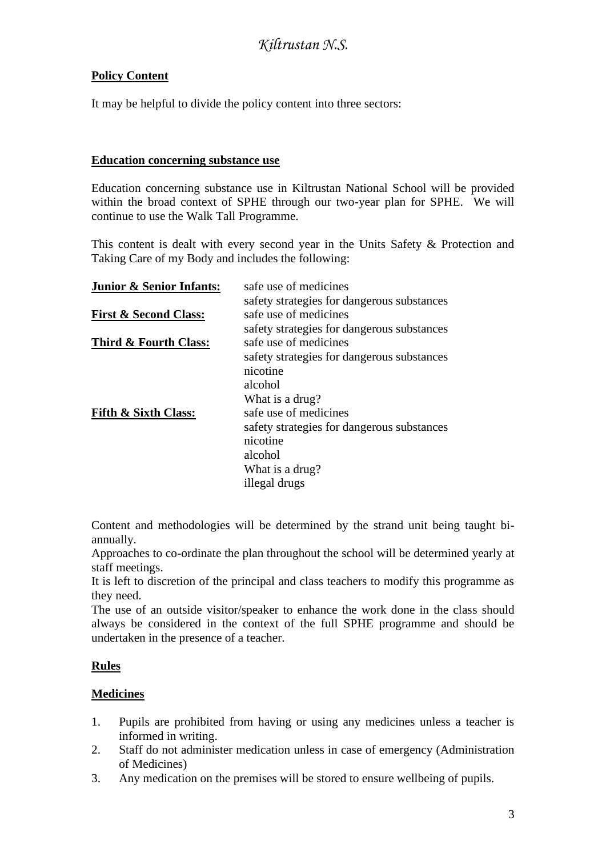### **Policy Content**

It may be helpful to divide the policy content into three sectors:

#### **Education concerning substance use**

Education concerning substance use in Kiltrustan National School will be provided within the broad context of SPHE through our two-year plan for SPHE. We will continue to use the Walk Tall Programme.

This content is dealt with every second year in the Units Safety & Protection and Taking Care of my Body and includes the following:

| <b>Junior &amp; Senior Infants:</b> | safe use of medicines                      |
|-------------------------------------|--------------------------------------------|
|                                     | safety strategies for dangerous substances |
| <b>First &amp; Second Class:</b>    | safe use of medicines                      |
|                                     | safety strategies for dangerous substances |
| Third & Fourth Class:               | safe use of medicines                      |
|                                     | safety strategies for dangerous substances |
|                                     | nicotine                                   |
|                                     | alcohol                                    |
|                                     | What is a drug?                            |
| <b>Fifth &amp; Sixth Class:</b>     | safe use of medicines                      |
|                                     | safety strategies for dangerous substances |
|                                     | nicotine                                   |
|                                     | alcohol                                    |
|                                     | What is a drug?                            |
|                                     | illegal drugs                              |

Content and methodologies will be determined by the strand unit being taught biannually.

Approaches to co-ordinate the plan throughout the school will be determined yearly at staff meetings.

It is left to discretion of the principal and class teachers to modify this programme as they need.

The use of an outside visitor/speaker to enhance the work done in the class should always be considered in the context of the full SPHE programme and should be undertaken in the presence of a teacher.

#### **Rules**

#### **Medicines**

- 1. Pupils are prohibited from having or using any medicines unless a teacher is informed in writing.
- 2. Staff do not administer medication unless in case of emergency (Administration of Medicines)
- 3. Any medication on the premises will be stored to ensure wellbeing of pupils.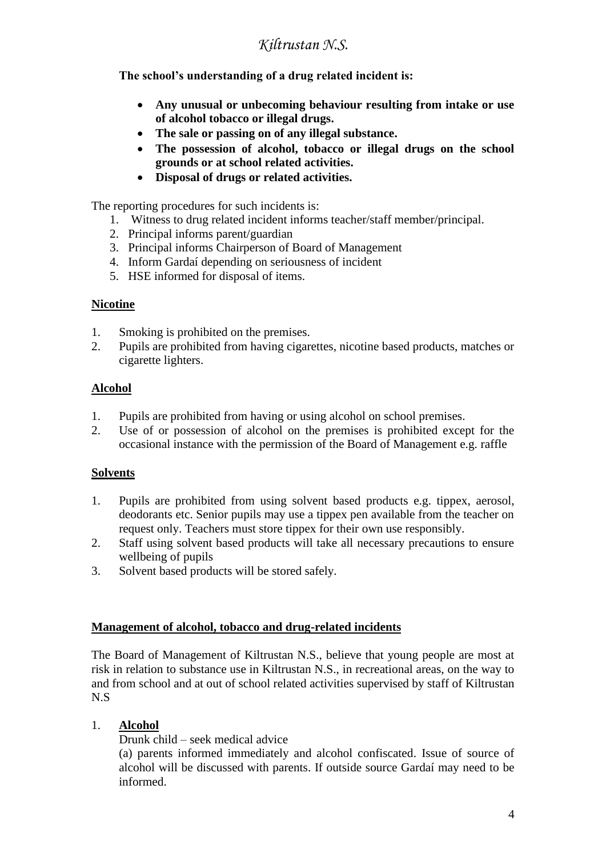**The school's understanding of a drug related incident is:**

- **Any unusual or unbecoming behaviour resulting from intake or use of alcohol tobacco or illegal drugs.**
- **The sale or passing on of any illegal substance.**
- **The possession of alcohol, tobacco or illegal drugs on the school grounds or at school related activities.**
- **Disposal of drugs or related activities.**

The reporting procedures for such incidents is:

- 1. Witness to drug related incident informs teacher/staff member/principal.
- 2. Principal informs parent/guardian
- 3. Principal informs Chairperson of Board of Management
- 4. Inform Gardaí depending on seriousness of incident
- 5. HSE informed for disposal of items.

#### **Nicotine**

- 1. Smoking is prohibited on the premises.
- 2. Pupils are prohibited from having cigarettes, nicotine based products, matches or cigarette lighters.

#### **Alcohol**

- 1. Pupils are prohibited from having or using alcohol on school premises.
- 2. Use of or possession of alcohol on the premises is prohibited except for the occasional instance with the permission of the Board of Management e.g. raffle

#### **Solvents**

- 1. Pupils are prohibited from using solvent based products e.g. tippex, aerosol, deodorants etc. Senior pupils may use a tippex pen available from the teacher on request only. Teachers must store tippex for their own use responsibly.
- 2. Staff using solvent based products will take all necessary precautions to ensure wellbeing of pupils
- 3. Solvent based products will be stored safely.

#### **Management of alcohol, tobacco and drug-related incidents**

The Board of Management of Kiltrustan N.S., believe that young people are most at risk in relation to substance use in Kiltrustan N.S., in recreational areas, on the way to and from school and at out of school related activities supervised by staff of Kiltrustan N.S

#### 1. **Alcohol**

Drunk child – seek medical advice

(a) parents informed immediately and alcohol confiscated. Issue of source of alcohol will be discussed with parents. If outside source Gardaí may need to be informed.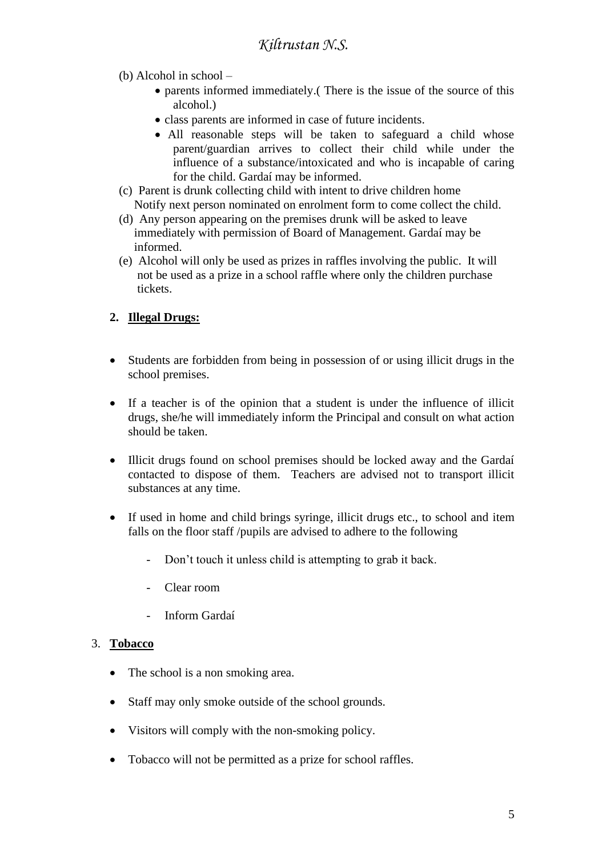- (b) Alcohol in school
	- parents informed immediately.( There is the issue of the source of this alcohol.)
	- class parents are informed in case of future incidents.
	- All reasonable steps will be taken to safeguard a child whose parent/guardian arrives to collect their child while under the influence of a substance/intoxicated and who is incapable of caring for the child. Gardaí may be informed.
- (c) Parent is drunk collecting child with intent to drive children home Notify next person nominated on enrolment form to come collect the child.
- (d) Any person appearing on the premises drunk will be asked to leave immediately with permission of Board of Management. Gardaí may be informed.
- (e) Alcohol will only be used as prizes in raffles involving the public. It will not be used as a prize in a school raffle where only the children purchase tickets.

### **2. Illegal Drugs:**

- Students are forbidden from being in possession of or using illicit drugs in the school premises.
- If a teacher is of the opinion that a student is under the influence of illicit drugs, she/he will immediately inform the Principal and consult on what action should be taken.
- Illicit drugs found on school premises should be locked away and the Gardaí contacted to dispose of them. Teachers are advised not to transport illicit substances at any time.
- If used in home and child brings syringe, illicit drugs etc., to school and item falls on the floor staff /pupils are advised to adhere to the following
	- Don't touch it unless child is attempting to grab it back.
	- Clear room
	- Inform Gardaí

### 3. **Tobacco**

- The school is a non smoking area.
- Staff may only smoke outside of the school grounds.
- Visitors will comply with the non-smoking policy.
- Tobacco will not be permitted as a prize for school raffles.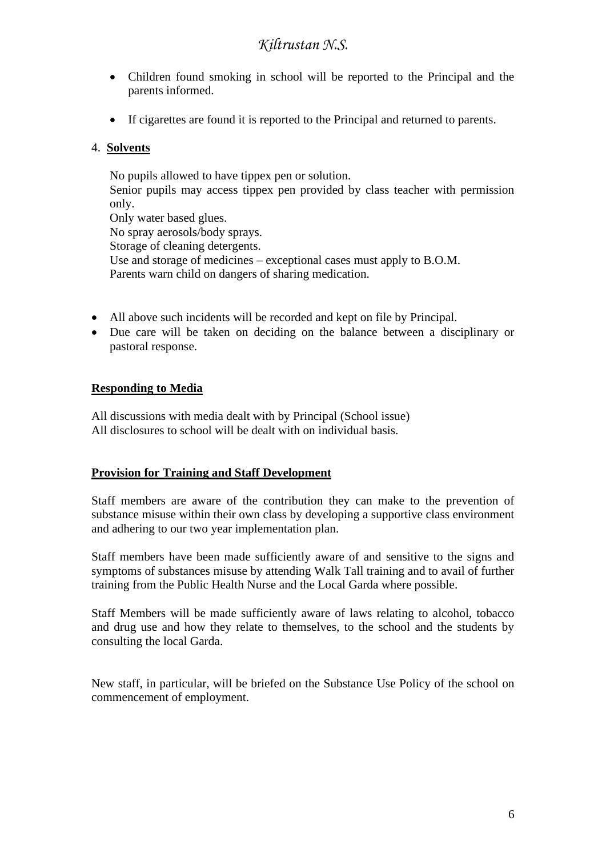- Children found smoking in school will be reported to the Principal and the parents informed.
- If cigarettes are found it is reported to the Principal and returned to parents.

#### 4. **Solvents**

No pupils allowed to have tippex pen or solution. Senior pupils may access tippex pen provided by class teacher with permission only. Only water based glues. No spray aerosols/body sprays. Storage of cleaning detergents. Use and storage of medicines – exceptional cases must apply to B.O.M. Parents warn child on dangers of sharing medication.

- All above such incidents will be recorded and kept on file by Principal.
- Due care will be taken on deciding on the balance between a disciplinary or pastoral response.

#### **Responding to Media**

All discussions with media dealt with by Principal (School issue) All disclosures to school will be dealt with on individual basis.

#### **Provision for Training and Staff Development**

Staff members are aware of the contribution they can make to the prevention of substance misuse within their own class by developing a supportive class environment and adhering to our two year implementation plan.

Staff members have been made sufficiently aware of and sensitive to the signs and symptoms of substances misuse by attending Walk Tall training and to avail of further training from the Public Health Nurse and the Local Garda where possible.

Staff Members will be made sufficiently aware of laws relating to alcohol, tobacco and drug use and how they relate to themselves, to the school and the students by consulting the local Garda.

New staff, in particular, will be briefed on the Substance Use Policy of the school on commencement of employment.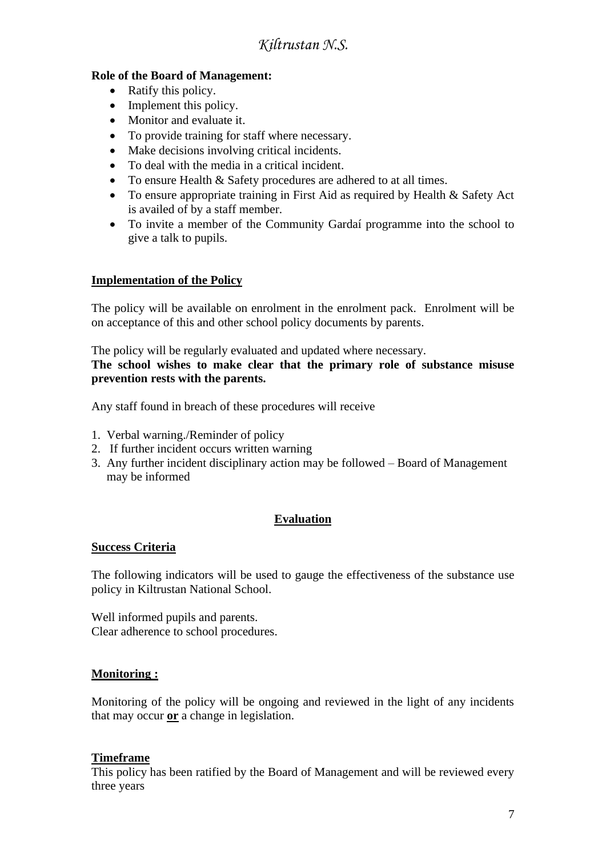### **Role of the Board of Management:**

- Ratify this policy.
- Implement this policy.
- Monitor and evaluate it.
- To provide training for staff where necessary.
- Make decisions involving critical incidents.
- To deal with the media in a critical incident.
- To ensure Health & Safety procedures are adhered to at all times.
- To ensure appropriate training in First Aid as required by Health & Safety Act is availed of by a staff member.
- To invite a member of the Community Gardaí programme into the school to give a talk to pupils.

#### **Implementation of the Policy**

The policy will be available on enrolment in the enrolment pack. Enrolment will be on acceptance of this and other school policy documents by parents.

The policy will be regularly evaluated and updated where necessary. **The school wishes to make clear that the primary role of substance misuse prevention rests with the parents.**

Any staff found in breach of these procedures will receive

- 1. Verbal warning./Reminder of policy
- 2. If further incident occurs written warning
- 3. Any further incident disciplinary action may be followed Board of Management may be informed

### **Evaluation**

#### **Success Criteria**

The following indicators will be used to gauge the effectiveness of the substance use policy in Kiltrustan National School.

Well informed pupils and parents. Clear adherence to school procedures.

#### **Monitoring :**

Monitoring of the policy will be ongoing and reviewed in the light of any incidents that may occur **or** a change in legislation.

#### **Timeframe**

This policy has been ratified by the Board of Management and will be reviewed every three years